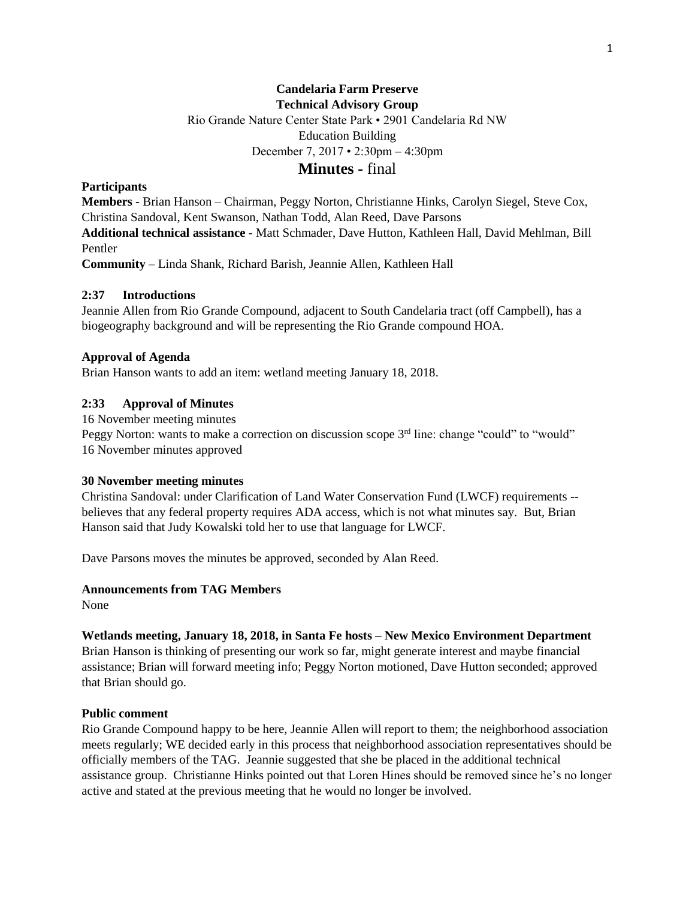## **Candelaria Farm Preserve Technical Advisory Group**

Rio Grande Nature Center State Park • 2901 Candelaria Rd NW

Education Building

December 7, 2017 • 2:30pm – 4:30pm

## **Minutes -** final

## **Participants**

**Members -** Brian Hanson – Chairman, Peggy Norton, Christianne Hinks, Carolyn Siegel, Steve Cox, Christina Sandoval, Kent Swanson, Nathan Todd, Alan Reed, Dave Parsons

**Additional technical assistance -** Matt Schmader, Dave Hutton, Kathleen Hall, David Mehlman, Bill Pentler

**Community** – Linda Shank, Richard Barish, Jeannie Allen, Kathleen Hall

## **2:37 Introductions**

Jeannie Allen from Rio Grande Compound, adjacent to South Candelaria tract (off Campbell), has a biogeography background and will be representing the Rio Grande compound HOA.

### **Approval of Agenda**

Brian Hanson wants to add an item: wetland meeting January 18, 2018.

## **2:33 Approval of Minutes**

16 November meeting minutes Peggy Norton: wants to make a correction on discussion scope  $3<sup>rd</sup>$  line: change "could" to "would" 16 November minutes approved

#### **30 November meeting minutes**

Christina Sandoval: under Clarification of Land Water Conservation Fund (LWCF) requirements - believes that any federal property requires ADA access, which is not what minutes say. But, Brian Hanson said that Judy Kowalski told her to use that language for LWCF.

Dave Parsons moves the minutes be approved, seconded by Alan Reed.

## **Announcements from TAG Members**

None

#### **Wetlands meeting, January 18, 2018, in Santa Fe hosts – New Mexico Environment Department**

Brian Hanson is thinking of presenting our work so far, might generate interest and maybe financial assistance; Brian will forward meeting info; Peggy Norton motioned, Dave Hutton seconded; approved that Brian should go.

#### **Public comment**

Rio Grande Compound happy to be here, Jeannie Allen will report to them; the neighborhood association meets regularly; WE decided early in this process that neighborhood association representatives should be officially members of the TAG. Jeannie suggested that she be placed in the additional technical assistance group. Christianne Hinks pointed out that Loren Hines should be removed since he's no longer active and stated at the previous meeting that he would no longer be involved.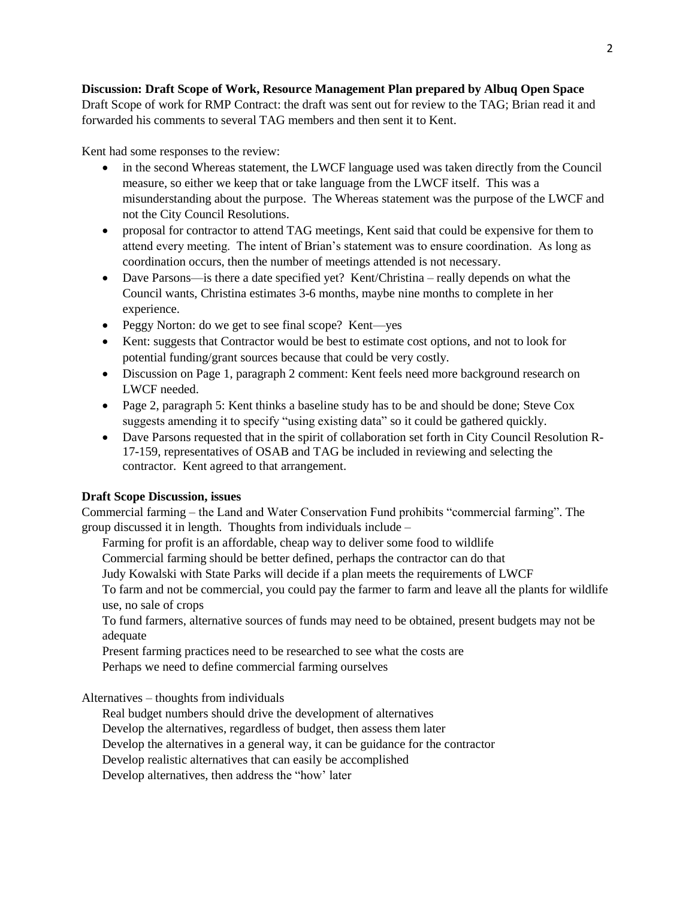# **Discussion: Draft Scope of Work, Resource Management Plan prepared by Albuq Open Space**

Draft Scope of work for RMP Contract: the draft was sent out for review to the TAG; Brian read it and forwarded his comments to several TAG members and then sent it to Kent.

Kent had some responses to the review:

- in the second Whereas statement, the LWCF language used was taken directly from the Council measure, so either we keep that or take language from the LWCF itself. This was a misunderstanding about the purpose. The Whereas statement was the purpose of the LWCF and not the City Council Resolutions.
- proposal for contractor to attend TAG meetings, Kent said that could be expensive for them to attend every meeting. The intent of Brian's statement was to ensure coordination. As long as coordination occurs, then the number of meetings attended is not necessary.
- Dave Parsons—is there a date specified yet? Kent/Christina really depends on what the Council wants, Christina estimates 3-6 months, maybe nine months to complete in her experience.
- Peggy Norton: do we get to see final scope? Kent—yes
- Kent: suggests that Contractor would be best to estimate cost options, and not to look for potential funding/grant sources because that could be very costly.
- Discussion on Page 1, paragraph 2 comment: Kent feels need more background research on LWCF needed.
- Page 2, paragraph 5: Kent thinks a baseline study has to be and should be done; Steve Cox suggests amending it to specify "using existing data" so it could be gathered quickly.
- Dave Parsons requested that in the spirit of collaboration set forth in City Council Resolution R-17-159, representatives of OSAB and TAG be included in reviewing and selecting the contractor. Kent agreed to that arrangement.

## **Draft Scope Discussion, issues**

Commercial farming – the Land and Water Conservation Fund prohibits "commercial farming". The group discussed it in length. Thoughts from individuals include –

Farming for profit is an affordable, cheap way to deliver some food to wildlife

Commercial farming should be better defined, perhaps the contractor can do that

Judy Kowalski with State Parks will decide if a plan meets the requirements of LWCF

To farm and not be commercial, you could pay the farmer to farm and leave all the plants for wildlife use, no sale of crops

To fund farmers, alternative sources of funds may need to be obtained, present budgets may not be adequate

Present farming practices need to be researched to see what the costs are Perhaps we need to define commercial farming ourselves

Alternatives – thoughts from individuals

Real budget numbers should drive the development of alternatives

Develop the alternatives, regardless of budget, then assess them later

Develop the alternatives in a general way, it can be guidance for the contractor

Develop realistic alternatives that can easily be accomplished

Develop alternatives, then address the "how' later